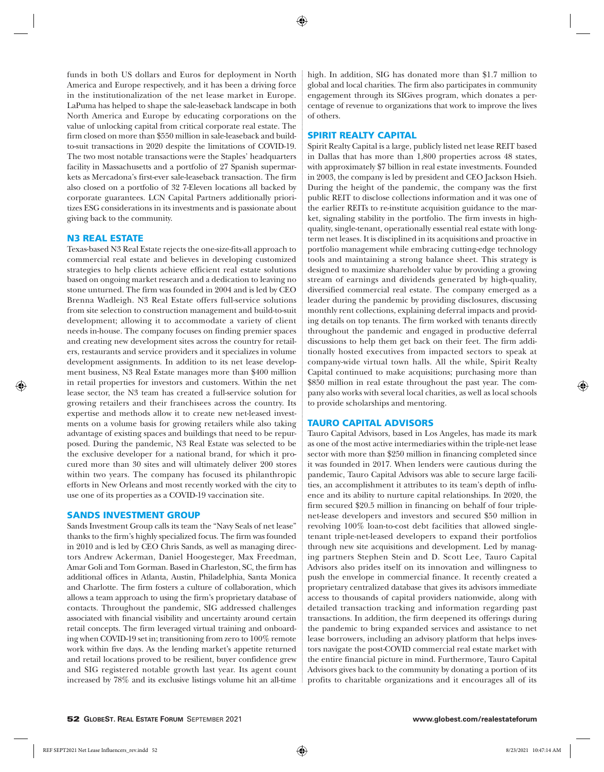funds in both US dollars and Euros for deployment in North America and Europe respectively, and it has been a driving force in the institutionalization of the net lease market in Europe. LaPuma has helped to shape the sale-leaseback landscape in both North America and Europe by educating corporations on the value of unlocking capital from critical corporate real estate. The firm closed on more than \$550 million in sale-leaseback and buildto-suit transactions in 2020 despite the limitations of COVID-19. The two most notable transactions were the Staples' headquarters facility in Massachusetts and a portfolio of 27 Spanish supermarkets as Mercadona's first-ever sale-leaseback transaction. The firm also closed on a portfolio of 32 7-Eleven locations all backed by corporate guarantees. LCN Capital Partners additionally prioritizes ESG considerations in its investments and is passionate about giving back to the community.

#### N3 REAL ESTATE

Texas-based N3 Real Estate rejects the one-size-fits-all approach to commercial real estate and believes in developing customized strategies to help clients achieve efficient real estate solutions based on ongoing market research and a dedication to leaving no stone unturned. The firm was founded in 2004 and is led by CEO Brenna Wadleigh. N3 Real Estate offers full-service solutions from site selection to construction management and build-to-suit development; allowing it to accommodate a variety of client needs in-house. The company focuses on finding premier spaces and creating new development sites across the country for retailers, restaurants and service providers and it specializes in volume development assignments. In addition to its net lease development business, N3 Real Estate manages more than \$400 million in retail properties for investors and customers. Within the net lease sector, the N3 team has created a full-service solution for growing retailers and their franchisees across the country. Its expertise and methods allow it to create new net-leased investments on a volume basis for growing retailers while also taking advantage of existing spaces and buildings that need to be repurposed. During the pandemic, N3 Real Estate was selected to be the exclusive developer for a national brand, for which it procured more than 30 sites and will ultimately deliver 200 stores within two years. The company has focused its philanthropic efforts in New Orleans and most recently worked with the city to use one of its properties as a COVID-19 vaccination site.

#### SANDS INVESTMENT GROUP

Sands Investment Group calls its team the "Navy Seals of net lease" thanks to the firm's highly specialized focus. The firm was founded in 2010 and is led by CEO Chris Sands, as well as managing directors Andrew Ackerman, Daniel Hoogesteger, Max Freedman, Amar Goli and Tom Gorman. Based in Charleston, SC, the firm has additional offices in Atlanta, Austin, Philadelphia, Santa Monica and Charlotte. The firm fosters a culture of collaboration, which allows a team approach to using the firm's proprietary database of contacts. Throughout the pandemic, SIG addressed challenges associated with financial visibility and uncertainty around certain retail concepts. The firm leveraged virtual training and onboarding when COVID-19 set in; transitioning from zero to 100% remote work within five days. As the lending market's appetite returned and retail locations proved to be resilient, buyer confidence grew and SIG registered notable growth last year. Its agent count increased by 78% and its exclusive listings volume hit an all-time

high. In addition, SIG has donated more than \$1.7 million to global and local charities. The firm also participates in community engagement through its SIGives program, which donates a percentage of revenue to organizations that work to improve the lives of others.

## SPIRIT REALTY CAPITAL

Spirit Realty Capital is a large, publicly listed net lease REIT based in Dallas that has more than 1,800 properties across 48 states, with approximately \$7 billion in real estate investments. Founded in 2003, the company is led by president and CEO Jackson Hsieh. During the height of the pandemic, the company was the first public REIT to disclose collections information and it was one of the earlier REITs to re-institute acquisition guidance to the market, signaling stability in the portfolio. The firm invests in highquality, single-tenant, operationally essential real estate with longterm net leases. It is disciplined in its acquisitions and proactive in portfolio management while embracing cutting-edge technology tools and maintaining a strong balance sheet. This strategy is designed to maximize shareholder value by providing a growing stream of earnings and dividends generated by high-quality, diversified commercial real estate. The company emerged as a leader during the pandemic by providing disclosures, discussing monthly rent collections, explaining deferral impacts and providing details on top tenants. The firm worked with tenants directly throughout the pandemic and engaged in productive deferral discussions to help them get back on their feet. The firm additionally hosted executives from impacted sectors to speak at company-wide virtual town halls. All the while, Spirit Realty Capital continued to make acquisitions; purchasing more than \$850 million in real estate throughout the past year. The company also works with several local charities, as well as local schools to provide scholarships and mentoring.

#### TAURO CAPITAL ADVISORS

Tauro Capital Advisors, based in Los Angeles, has made its mark as one of the most active intermediaries within the triple-net lease sector with more than \$250 million in financing completed since it was founded in 2017. When lenders were cautious during the pandemic, Tauro Capital Advisors was able to secure large facilities, an accomplishment it attributes to its team's depth of influence and its ability to nurture capital relationships. In 2020, the firm secured \$20.5 million in financing on behalf of four triplenet-lease developers and investors and secured \$50 million in revolving 100% loan-to-cost debt facilities that allowed singletenant triple-net-leased developers to expand their portfolios through new site acquisitions and development. Led by managing partners Stephen Stein and D. Scott Lee, Tauro Capital Advisors also prides itself on its innovation and willingness to push the envelope in commercial finance. It recently created a proprietary centralized database that gives its advisors immediate access to thousands of capital providers nationwide, along with detailed transaction tracking and information regarding past transactions. In addition, the firm deepened its offerings during the pandemic to bring expanded services and assistance to net lease borrowers, including an advisory platform that helps investors navigate the post-COVID commercial real estate market with the entire financial picture in mind. Furthermore, Tauro Capital Advisors gives back to the community by donating a portion of its profits to charitable organizations and it encourages all of its